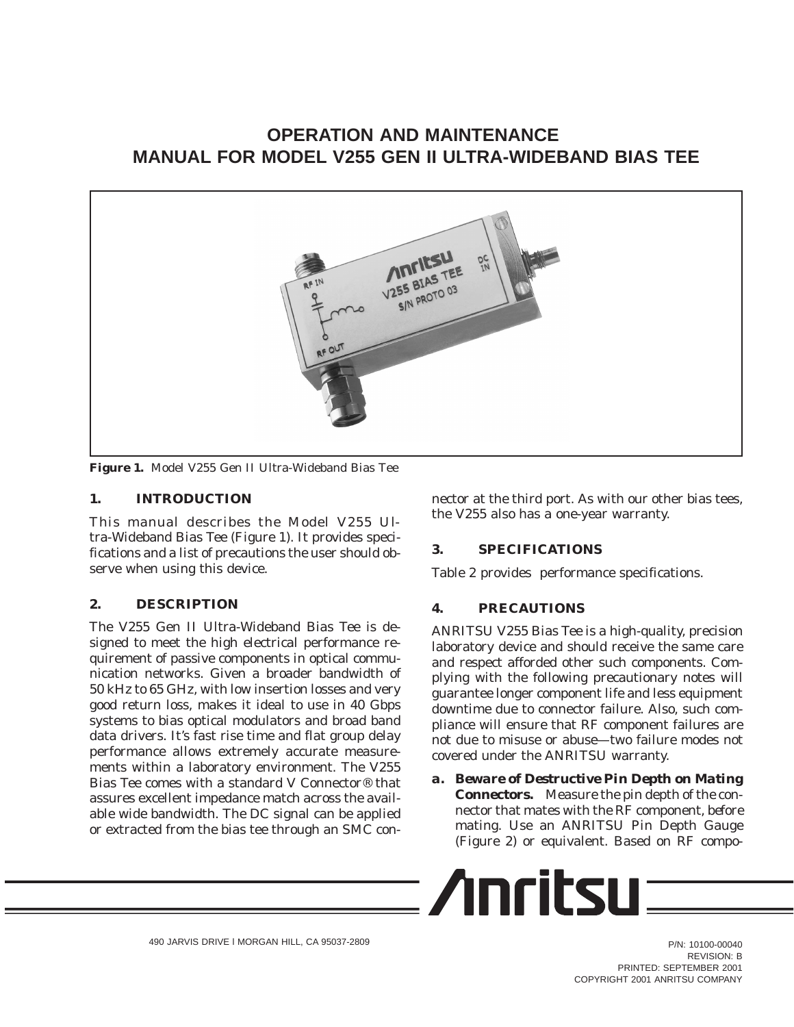# **OPERATION AND MAINTENANCE MANUAL FOR MODEL V255 GEN II ULTRA-WIDEBAND BIAS TEE**



**Figure 1.** Model V255 Gen II Ultra-Wideband Bias Tee

## **1. INTRODUCTION**

This manual describes the Model V255 Ultra-Wideband Bias Tee (Figure 1). It provides specifications and a list of precautions the user should observe when using this device.

## **2. DESCRIPTION**

The V255 Gen II Ultra-Wideband Bias Tee is designed to meet the high electrical performance requirement of passive components in optical communication networks. Given a broader bandwidth of 50 kHz to 65 GHz, with low insertion losses and very good return loss, makes it ideal to use in 40 Gbps systems to bias optical modulators and broad band data drivers. It's fast rise time and flat group delay performance allows extremely accurate measurements within a laboratory environment. The V255 Bias Tee comes with a standard V Connector® that assures excellent impedance match across the available wide bandwidth. The DC signal can be applied or extracted from the bias tee through an SMC connector at the third port. As with our other bias tees, the V255 also has a one-year warranty.

## **3. SPECIFICATIONS**

Table 2 provides performance specifications.

### **4. PRECAUTIONS**

ANRITSU V255 Bias Tee is a high-quality, precision laboratory device and should receive the same care and respect afforded other such components. Complying with the following precautionary notes will guarantee longer component life and less equipment downtime due to connector failure. Also, such compliance will ensure that RF component failures are not due to misuse or abuse—two failure modes not covered under the ANRITSU warranty.

*a. Beware of Destructive Pin Depth on Mating Connectors.* Measure the pin depth of the connector that mates with the RF component, *before* mating. Use an ANRITSU Pin Depth Gauge (Figure 2) or equivalent. Based on RF compo-

$$
\sqrt{\text{Inritsu}} =
$$

P/N: 10100-00040 REVISION: B PRINTED: SEPTEMBER 2001 COPYRIGHT 2001 ANRITSU COMPANY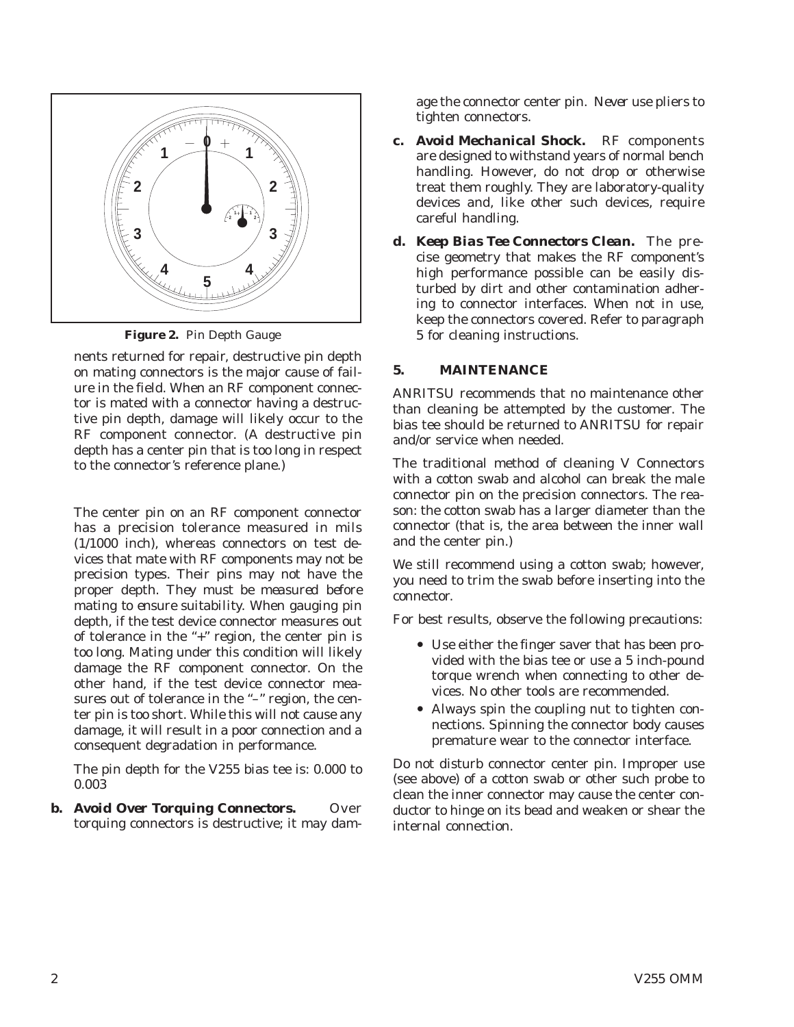

**Figure 2.** Pin Depth Gauge

nents returned for repair, destructive pin depth on mating connectors is the major cause of failure in the field. When an RF component connector is mated with a connector having a destructive pin depth, damage will likely occur to the RF component connector. (A destructive pin depth has a center pin that is too long in respect to the connector's reference plane.)

The center pin on an RF component connector has a precision tolerance measured in mils (1/1000 inch), whereas connectors on test devices that mate with RF components may not be precision types. Their pins may not have the proper depth. *They must be measured before mating to ensure suitability.* When gauging pin depth, if the test device connector measures out of tolerance in the "+" region, the center pin is too long. Mating under this condition will likely damage the RF component connector. On the other hand, if the test device connector measures out of tolerance in the "-" region, the center pin is too short. While this will not cause any damage, it will result in a poor connection and a consequent degradation in performance.

The pin depth for the V255 bias tee is: 0.000 to 0.003

*b.* Avoid Over Torquing Connectors. Over torquing connectors is destructive; it may damage the connector center pin. *Never* use pliers to tighten connectors.

- *c. Avoid Mechanical Shock.* RF components are designed to withstand years of normal bench handling. However, do not drop or otherwise treat them roughly. They are laboratory-quality devices and, like other such devices, require careful handling.
- *d. Keep Bias Tee Connectors Clean.* The precise geometry that makes the RF component's high performance possible can be easily disturbed by dirt and other contamination adhering to connector interfaces. When not in use, keep the connectors covered. Refer to paragraph 5 for cleaning instructions.

## **5. MAINTENANCE**

ANRITSU recommends that no maintenance other than cleaning be attempted by the customer. The bias tee should be returned to ANRITSU for repair and/or service when needed.

The traditional method of cleaning V Connectors with a cotton swab and alcohol can break the male connector pin on the precision connectors. The reason: the cotton swab has a larger diameter than the connector (that is, the area between the inner wall and the center pin.)

We still recommend using a cotton swab; however, you need to trim the swab before inserting into the connector.

For best results, observe the following precautions:

- Use either the finger saver that has been provided with the bias tee or use a 5 inch-pound torque wrench when connecting to other devices. No other tools are recommended.
- Always spin the coupling nut to tighten connections. Spinning the connector body causes premature wear to the connector interface.

Do not disturb connector center pin. Improper use (see above) of a cotton swab or other such probe to clean the inner connector may cause the center conductor to hinge on its bead and weaken or shear the internal connection.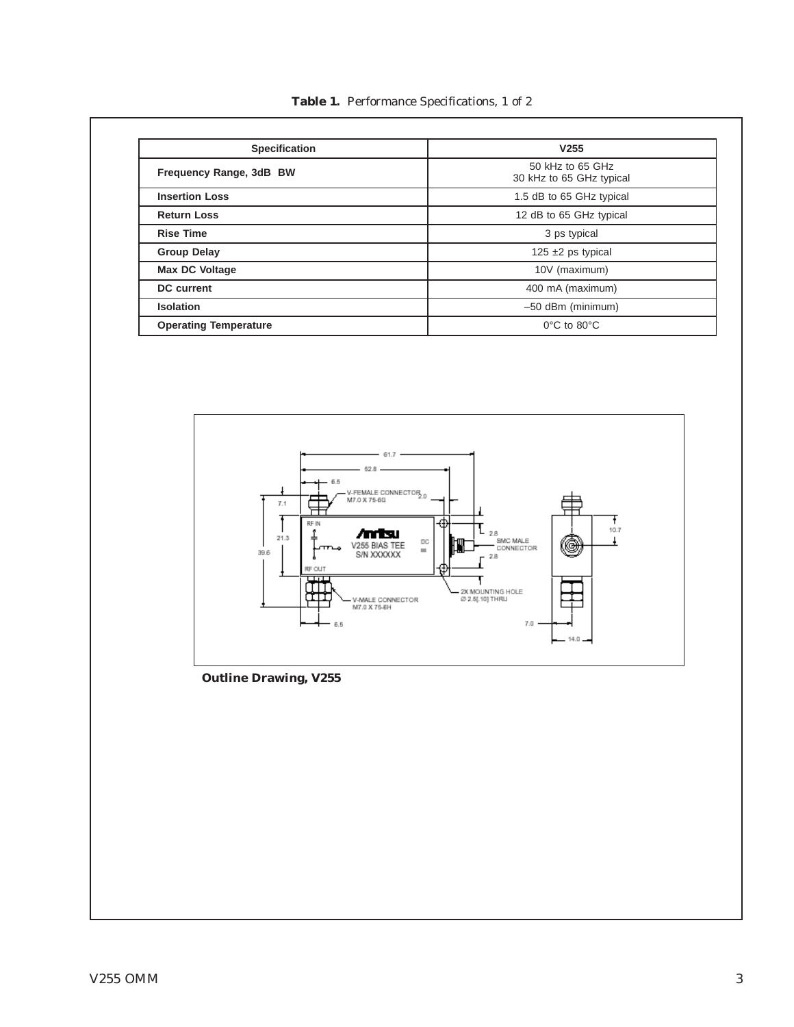**Table 1.** Performance Specifications, 1 of 2

| <b>Specification</b>         | V <sub>255</sub>                             |
|------------------------------|----------------------------------------------|
| Frequency Range, 3dB BW      | 50 kHz to 65 GHz<br>30 kHz to 65 GHz typical |
| <b>Insertion Loss</b>        | 1.5 dB to 65 GHz typical                     |
| <b>Return Loss</b>           | 12 dB to 65 GHz typical                      |
| <b>Rise Time</b>             | 3 ps typical                                 |
| <b>Group Delay</b>           | 125 $\pm$ 2 ps typical                       |
| Max DC Voltage               | 10V (maximum)                                |
| <b>DC</b> current            | 400 mA (maximum)                             |
| <b>Isolation</b>             | $-50$ dBm (minimum)                          |
| <b>Operating Temperature</b> | $0^{\circ}$ C to $80^{\circ}$ C              |



**Outline Drawing, V255**